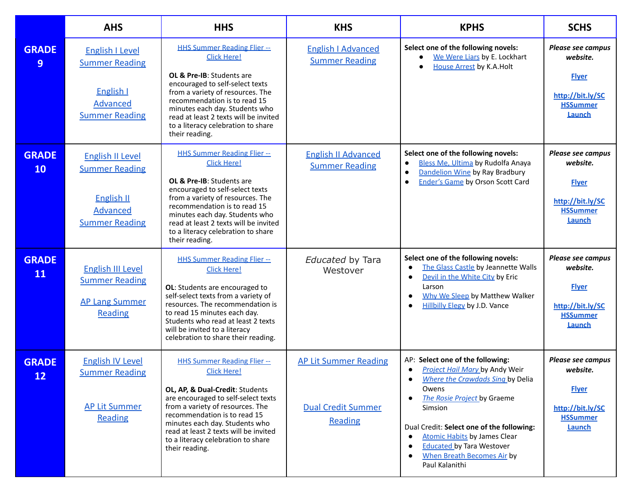|                           | <b>AHS</b>                                                                                                 | <b>HHS</b>                                                                                                                                                                                                                                                                                                                                | <b>KHS</b>                                                                  | <b>KPHS</b>                                                                                                                                                                                                                                                                                                                                                        | <b>SCHS</b>                                                                                           |
|---------------------------|------------------------------------------------------------------------------------------------------------|-------------------------------------------------------------------------------------------------------------------------------------------------------------------------------------------------------------------------------------------------------------------------------------------------------------------------------------------|-----------------------------------------------------------------------------|--------------------------------------------------------------------------------------------------------------------------------------------------------------------------------------------------------------------------------------------------------------------------------------------------------------------------------------------------------------------|-------------------------------------------------------------------------------------------------------|
| <b>GRADE</b><br>9         | <b>English I Level</b><br><b>Summer Reading</b><br>English I<br>Advanced<br><b>Summer Reading</b>          | <b>HHS Summer Reading Flier --</b><br><b>Click Here!</b><br>OL & Pre-IB: Students are<br>encouraged to self-select texts<br>from a variety of resources. The<br>recommendation is to read 15<br>minutes each day. Students who<br>read at least 2 texts will be invited<br>to a literacy celebration to share<br>their reading.           | <b>English I Advanced</b><br><b>Summer Reading</b>                          | Select one of the following novels:<br>We Were Liars by E. Lockhart<br><b>House Arrest by K.A.Holt</b>                                                                                                                                                                                                                                                             | <b>Please see campus</b><br>website.<br><b>Flyer</b><br>http://bit.ly/SC<br><b>HSSummer</b><br>Launch |
| <b>GRADE</b><br><b>10</b> | <b>English II Level</b><br><b>Summer Reading</b><br><b>English II</b><br>Advanced<br><b>Summer Reading</b> | <b>HHS Summer Reading Flier --</b><br><b>Click Here!</b><br>OL & Pre-IB: Students are<br>encouraged to self-select texts<br>from a variety of resources. The<br>recommendation is to read 15<br>minutes each day. Students who<br>read at least 2 texts will be invited<br>to a literacy celebration to share<br>their reading.           | <b>English II Advanced</b><br><b>Summer Reading</b>                         | Select one of the following novels:<br>Bless Me, Ultima by Rudolfa Anaya<br>$\bullet$<br>Dandelion Wine by Ray Bradbury<br>$\bullet$<br><b>Ender's Game by Orson Scott Card</b><br>$\bullet$                                                                                                                                                                       | <b>Please see campus</b><br>website.<br><b>Flyer</b><br>http://bit.ly/SC<br><b>HSSummer</b><br>Launch |
| <b>GRADE</b><br>11        | English III Level<br><b>Summer Reading</b><br><b>AP Lang Summer</b><br><b>Reading</b>                      | <b>HHS Summer Reading Flier --</b><br><b>Click Here!</b><br>OL: Students are encouraged to<br>self-select texts from a variety of<br>resources. The recommendation is<br>to read 15 minutes each day.<br>Students who read at least 2 texts<br>will be invited to a literacy<br>celebration to share their reading.                       | Educated by Tara<br>Westover                                                | Select one of the following novels:<br>The Glass Castle by Jeannette Walls<br>$\bullet$<br>Devil in the White City by Eric<br>$\bullet$<br>Larson<br>Why We Sleep by Matthew Walker<br><b>Hillbilly Elegy by J.D. Vance</b>                                                                                                                                        | <b>Please see campus</b><br>website.<br><b>Flyer</b><br>http://bit.ly/SC<br><b>HSSummer</b><br>Launch |
| <b>GRADE</b><br>12        | <b>English IV Level</b><br><b>Summer Reading</b><br><b>AP Lit Summer</b><br><b>Reading</b>                 | <b>HHS Summer Reading Flier --</b><br><b>Click Here!</b><br>OL, AP, & Dual-Credit: Students<br>are encouraged to self-select texts<br>from a variety of resources. The<br>recommendation is to read 15<br>minutes each day. Students who<br>read at least 2 texts will be invited<br>to a literacy celebration to share<br>their reading. | <b>AP Lit Summer Reading</b><br><b>Dual Credit Summer</b><br><b>Reading</b> | AP: Select one of the following:<br><i>Project Hail Mary</i> by Andy Weir<br>$\bullet$<br>Where the Crawdads Sing by Delia<br>Owens<br>The Rosie Project by Graeme<br>Simsion<br>Dual Credit: Select one of the following:<br><b>Atomic Habits by James Clear</b><br><b>Educated by Tara Westover</b><br>When Breath Becomes Air by<br>$\bullet$<br>Paul Kalanithi | Please see campus<br>website.<br><b>Flyer</b><br>http://bit.ly/SC<br><b>HSSummer</b><br>Launch        |